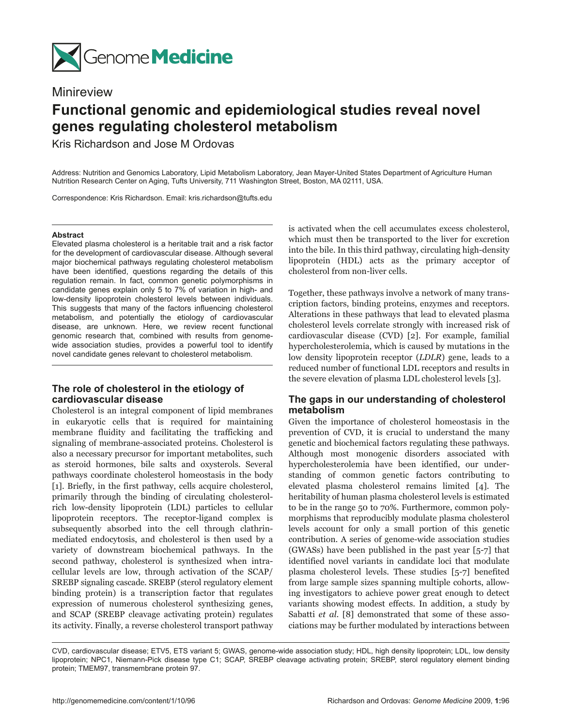

## Minireview

# **Functional genomic and epidemiological studies reveal novel genes regulating cholesterol metabolism**

Kris Richardson and Jose M Ordovas

Address: Nutrition and Genomics Laboratory, Lipid Metabolism Laboratory, Jean Mayer-United States Department of Agriculture Human Nutrition Research Center on Aging, Tufts University, 711 Washington Street, Boston, MA 02111, USA.

Correspondence: Kris Richardson. Email: kris.richardson@tufts.edu

#### **Abstract**

Elevated plasma cholesterol is a heritable trait and a risk factor for the development of cardiovascular disease. Although several major biochemical pathways regulating cholesterol metabolism have been identified, questions regarding the details of this regulation remain. In fact, common genetic polymorphisms in candidate genes explain only 5 to 7% of variation in high- and low-density lipoprotein cholesterol levels between individuals. This suggests that many of the factors influencing cholesterol metabolism, and potentially the etiology of cardiovascular disease, are unknown. Here, we review recent functional genomic research that, combined with results from genomewide association studies, provides a powerful tool to identify novel candidate genes relevant to cholesterol metabolism.

## **The role of cholesterol in the etiology of cardiovascular disease**

Cholesterol is an integral component of lipid membranes in eukaryotic cells that is required for maintaining membrane fluidity and facilitating the trafficking and signaling of membrane-associated proteins. Cholesterol is also a necessary precursor for important metabolites, such as steroid hormones, bile salts and oxysterols. Several pathways coordinate cholesterol homeostasis in the body [1]. Briefly, in the first pathway, cells acquire cholesterol, primarily through the binding of circulating cholesterolrich low-density lipoprotein (LDL) particles to cellular lipoprotein receptors. The receptor-ligand complex is subsequently absorbed into the cell through clathrinmediated endocytosis, and cholesterol is then used by a variety of downstream biochemical pathways. In the second pathway, cholesterol is synthesized when intracellular levels are low, through activation of the SCAP/ SREBP signaling cascade. SREBP (sterol regulatory element binding protein) is a transcription factor that regulates expression of numerous cholesterol synthesizing genes, and SCAP (SREBP cleavage activating protein) regulates its activity. Finally, a reverse cholesterol transport pathway is activated when the cell accumulates excess cholesterol, which must then be transported to the liver for excretion into the bile. In this third pathway, circulating high-density lipoprotein (HDL) acts as the primary acceptor of cholesterol from non-liver cells.

Together, these pathways involve a network of many transcription factors, binding proteins, enzymes and receptors. Alterations in these pathways that lead to elevated plasma cholesterol levels correlate strongly with increased risk of cardiovascular disease (CVD) [2]. For example, familial hypercholesterolemia, which is caused by mutations in the low density lipoprotein receptor (*LDLR*) gene, leads to a reduced number of functional LDL receptors and results in the severe elevation of plasma LDL cholesterol levels [3].

## **The gaps in our understanding of cholesterol metabolism**

Given the importance of cholesterol homeostasis in the prevention of CVD, it is crucial to understand the many genetic and biochemical factors regulating these pathways. Although most monogenic disorders associated with hypercholesterolemia have been identified, our understanding of common genetic factors contributing to elevated plasma cholesterol remains limited [4]. The heritability of human plasma cholesterol levels is estimated to be in the range 50 to 70%. Furthermore, common polymorphisms that reproducibly modulate plasma cholesterol levels account for only a small portion of this genetic contribution. A series of genome-wide association studies (GWASs) have been published in the past year [5-7] that identified novel variants in candidate loci that modulate plasma cholesterol levels. These studies [5-7] benefited from large sample sizes spanning multiple cohorts, allowing investigators to achieve power great enough to detect variants showing modest effects. In addition, a study by Sabatti *et al*. [8] demonstrated that some of these associations may be further modulated by interactions between

CVD, cardiovascular disease; ETV5, ETS variant 5; GWAS, genome-wide association study; HDL, high density lipoprotein; LDL, low density lipoprotein; NPC1, Niemann-Pick disease type C1; SCAP, SREBP cleavage activating protein; SREBP, sterol regulatory element binding protein; TMEM97, transmembrane protein 97.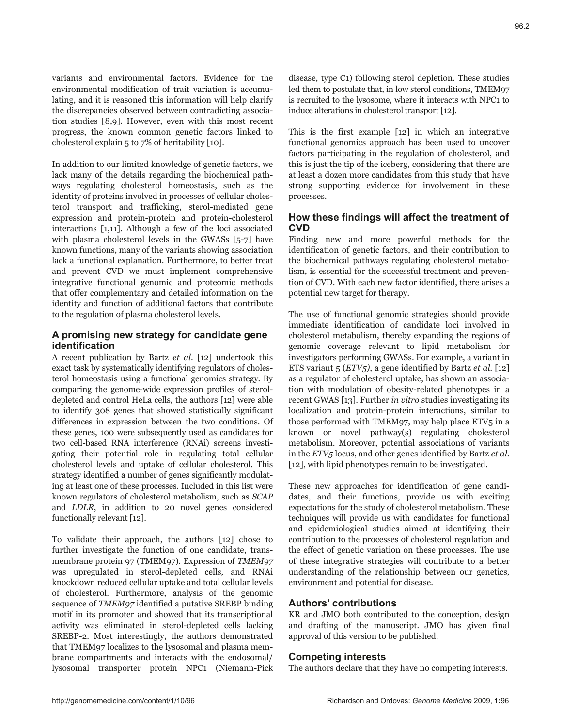variants and environmental factors. Evidence for the environmental modification of trait variation is accumulating, and it is reasoned this information will help clarify the discrepancies observed between contradicting association studies [8,9]. However, even with this most recent progress, the known common genetic factors linked to cholesterol explain 5 to 7% of heritability [10].

In addition to our limited knowledge of genetic factors, we lack many of the details regarding the biochemical pathways regulating cholesterol homeostasis, such as the identity of proteins involved in processes of cellular cholesterol transport and trafficking, sterol-mediated gene expression and protein-protein and protein-cholesterol interactions [1,11]. Although a few of the loci associated with plasma cholesterol levels in the GWASs [5-7] have known functions, many of the variants showing association lack a functional explanation. Furthermore, to better treat and prevent CVD we must implement comprehensive integrative functional genomic and proteomic methods that offer complementary and detailed information on the identity and function of additional factors that contribute to the regulation of plasma cholesterol levels.

#### **A promising new strategy for candidate gene identification**

A recent publication by Bartz *et al*. [12] undertook this exact task by systematically identifying regulators of cholesterol homeostasis using a functional genomics strategy. By comparing the genome-wide expression profiles of steroldepleted and control HeLa cells, the authors [12] were able to identify 308 genes that showed statistically significant differences in expression between the two conditions. Of these genes, 100 were subsequently used as candidates for two cell-based RNA interference (RNAi) screens investigating their potential role in regulating total cellular cholesterol levels and uptake of cellular cholesterol. This strategy identified a number of genes significantly modulating at least one of these processes. Included in this list were known regulators of cholesterol metabolism, such as *SCAP* and *LDLR*, in addition to 20 novel genes considered functionally relevant [12].

To validate their approach, the authors [12] chose to further investigate the function of one candidate, transmembrane protein 97 (TMEM97). Expression of *TMEM97* was upregulated in sterol-depleted cells, and RNAi knockdown reduced cellular uptake and total cellular levels of cholesterol. Furthermore, analysis of the genomic sequence of *TMEM97* identified a putative SREBP binding motif in its promoter and showed that its transcriptional activity was eliminated in sterol-depleted cells lacking SREBP-2. Most interestingly, the authors demonstrated that TMEM97 localizes to the lysosomal and plasma membrane compartments and interacts with the endosomal/ lysosomal transporter protein NPC1 (Niemann-Pick

disease, type C1) following sterol depletion. These studies led them to postulate that, in low sterol conditions, TMEM97 is recruited to the lysosome, where it interacts with NPC1 to induce alterations in cholesterol transport [12].

This is the first example [12] in which an integrative functional genomics approach has been used to uncover factors participating in the regulation of cholesterol, and this is just the tip of the iceberg, considering that there are at least a dozen more candidates from this study that have strong supporting evidence for involvement in these processes.

## **How these findings will affect the treatment of CVD**

Finding new and more powerful methods for the identification of genetic factors, and their contribution to the biochemical pathways regulating cholesterol metabolism, is essential for the successful treatment and prevention of CVD. With each new factor identified, there arises a potential new target for therapy.

The use of functional genomic strategies should provide immediate identification of candidate loci involved in cholesterol metabolism, thereby expanding the regions of genomic coverage relevant to lipid metabolism for investigators performing GWASs. For example, a variant in ETS variant 5 (*ETV5)*, a gene identified by Bartz *et al.* [12] as a regulator of cholesterol uptake, has shown an association with modulation of obesity-related phenotypes in a recent GWAS [13]. Further *in vitro* studies investigating its localization and protein-protein interactions, similar to those performed with TMEM97, may help place ETV5 in a known or novel pathway(s) regulating cholesterol metabolism. Moreover, potential associations of variants in the *ETV5* locus, and other genes identified by Bartz *et al.* [12], with lipid phenotypes remain to be investigated.

These new approaches for identification of gene candidates, and their functions, provide us with exciting expectations for the study of cholesterol metabolism. These techniques will provide us with candidates for functional and epidemiological studies aimed at identifying their contribution to the processes of cholesterol regulation and the effect of genetic variation on these processes. The use of these integrative strategies will contribute to a better understanding of the relationship between our genetics, environment and potential for disease.

## **Authors' contributions**

KR and JMO both contributed to the conception, design and drafting of the manuscript. JMO has given final approval of this version to be published.

## **Competing interests**

The authors declare that they have no competing interests.